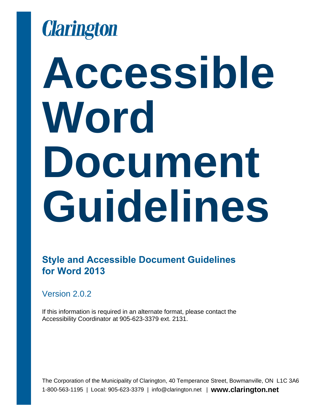

# **Accessible Word Document Guidelines**

**Style and Accessible Document Guidelines for Word 2013**

Version 2.0.2

If this information is required in an alternate format, please contact the Accessibility Coordinator at 905-623-3379 ext. 2131.

The Corporation of the Municipality of Clarington, 40 Temperance Street, Bowmanville, ON L1C 3A6 1-800-563-1195 | Local: 905-623-3379 | info@clarington.net | **www.clarington.net**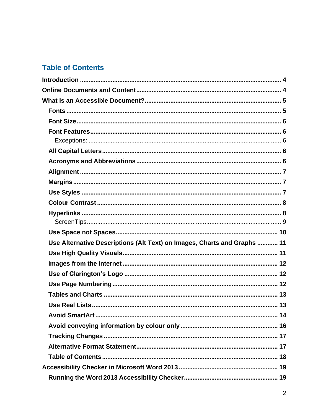### **Table of Contents**

| Use Alternative Descriptions (Alt Text) on Images, Charts and Graphs  11 |  |
|--------------------------------------------------------------------------|--|
|                                                                          |  |
|                                                                          |  |
|                                                                          |  |
|                                                                          |  |
|                                                                          |  |
|                                                                          |  |
|                                                                          |  |
|                                                                          |  |
|                                                                          |  |
|                                                                          |  |
|                                                                          |  |
|                                                                          |  |
|                                                                          |  |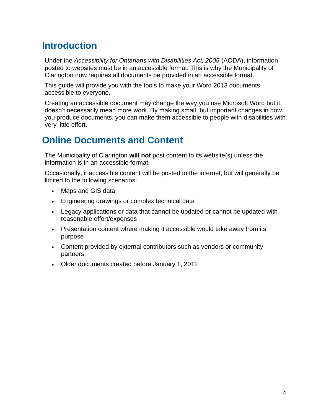# <span id="page-3-0"></span>**Introduction**

Under the *Accessibility for Ontarians with Disabilities Act, 2005* (AODA), information posted to websites must be in an accessible format. This is why the Municipality of Clarington now requires all documents be provided in an accessible format.

This guide will provide you with the tools to make your Word 2013 documents accessible to everyone.

Creating an accessible document may change the way you use Microsoft Word but it doesn't necessarily mean more work. By making small, but important changes in how you produce documents, you can make them accessible to people with disabilities with very little effort.

# <span id="page-3-1"></span>**Online Documents and Content**

The Municipality of Clarington **will not** post content to its website(s) unless the information is in an accessible format.

Occasionally, inaccessible content will be posted to the internet, but will generally be limited to the following scenarios:

- Maps and GIS data
- Engineering drawings or complex technical data
- Legacy applications or data that cannot be updated or cannot be updated with reasonable effort/expenses
- Presentation content where making it accessible would take away from its purpose
- Content provided by external contributors such as vendors or community partners
- Older documents created before January 1, 2012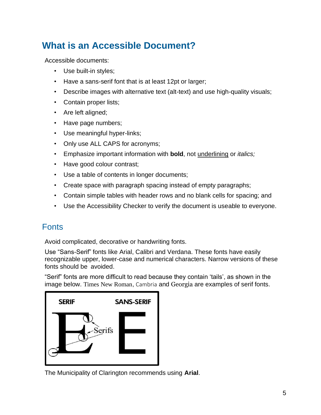# <span id="page-4-0"></span>**What is an Accessible Document?**

Accessible documents:

- Use built-in styles;
- Have a sans-serif font that is at least 12pt or larger;
- Describe images with alternative text (alt-text) and use high-quality visuals;
- Contain proper lists;
- Are left aligned;
- Have page numbers;
- Use meaningful hyper-links;
- Only use ALL CAPS for acronyms;
- Emphasize important information with **bold**, not underlining or *italics;*
- Have good colour contrast;
- Use a table of contents in longer documents;
- Create space with paragraph spacing instead of empty paragraphs;
- Contain simple tables with header rows and no blank cells for spacing; and
- Use the Accessibility Checker to verify the document is useable to everyone.

# <span id="page-4-1"></span>**Fonts**

Avoid complicated, decorative or handwriting fonts.

Use "Sans-Serif" fonts like Arial, Calibri and Verdana. These fonts have easily recognizable upper, lower-case and numerical characters. Narrow versions of these fonts should be avoided.

"Serif" fonts are more difficult to read because they contain 'tails', as shown in the image below. Times New Roman, Cambria and Georgia are examples of serif fonts.



The Municipality of Clarington recommends using **Arial**.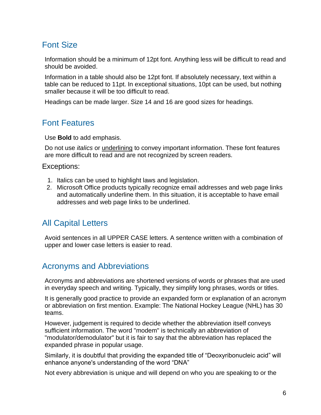# <span id="page-5-0"></span>Font Size

Information should be a minimum of 12pt font. Anything less will be difficult to read and should be avoided.

Information in a table should also be 12pt font. If absolutely necessary, text within a table can be reduced to 11pt. In exceptional situations, 10pt can be used, but nothing smaller because it will be too difficult to read.

Headings can be made larger. Size 14 and 16 are good sizes for headings.

# <span id="page-5-1"></span>Font Features

Use **Bold** to add emphasis.

Do not use *italics* or underlining to convey important information. These font features are more difficult to read and are not recognized by screen readers.

#### <span id="page-5-2"></span>Exceptions:

- 1. Italics can be used to highlight laws and legislation.
- 2. Microsoft Office products typically recognize email addresses and web page links and automatically underline them. In this situation, it is acceptable to have email addresses and web page links to be underlined.

# <span id="page-5-3"></span>All Capital Letters

Avoid sentences in all UPPER CASE letters. A sentence written with a combination of upper and lower case letters is easier to read.

## <span id="page-5-4"></span>Acronyms and Abbreviations

Acronyms and abbreviations are shortened versions of words or phrases that are used in everyday speech and writing. Typically, they simplify long phrases, words or titles.

It is generally good practice to provide an expanded form or explanation of an acronym or abbreviation on first mention. Example: The National Hockey League (NHL) has 30 teams.

However, judgement is required to decide whether the abbreviation itself conveys sufficient information. The word "modem" is technically an abbreviation of "modulator/demodulator" but it is fair to say that the abbreviation has replaced the expanded phrase in popular usage.

Similarly, it is doubtful that providing the expanded title of "Deoxyribonucleic acid" will enhance anyone's understanding of the word "DNA"

Not every abbreviation is unique and will depend on who you are speaking to or the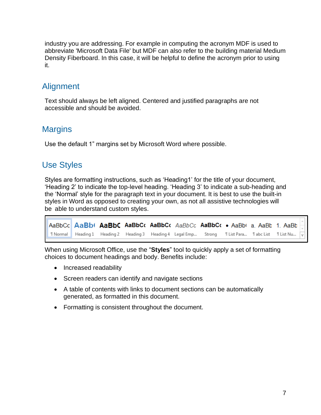industry you are addressing. For example in computing the acronym MDF is used to abbreviate 'Microsoft Data File' but MDF can also refer to the building material Medium Density Fiberboard. In this case, it will be helpful to define the acronym prior to using it.

# <span id="page-6-0"></span>**Alignment**

Text should always be left aligned. Centered and justified paragraphs are not accessible and should be avoided.

# <span id="page-6-1"></span>**Margins**

<span id="page-6-3"></span>Use the default 1" margins set by Microsoft Word where possible.

# <span id="page-6-2"></span>Use Styles

Styles are formatting instructions, such as 'Heading1' for the title of your document, 'Heading 2' to indicate the top-level heading. 'Heading 3' to indicate a sub-heading and the 'Normal' style for the paragraph text in your document. It is best to use the built-in styles in Word as opposed to creating your own, as not all assistive technologies will be able to understand custom styles.

AaBbCc **AaBbt AaBbC AaBbCc AaBbCc** AaBbCc AaBbCc • AaBbt a AaBb 1. AaBb **T** Normal Heading 1 Heading 2 Heading 3 Heading 4 Legal Emp... **TList Para... TabcList** Strong **T List Nu...** 

When using Microsoft Office, use the "**Styles**" tool to quickly apply a set of formatting choices to document headings and body. Benefits include:

- Increased readability
- Screen readers can identify and navigate sections
- A table of contents with links to document sections can be automatically generated, as formatted in this document.
- Formatting is consistent throughout the document.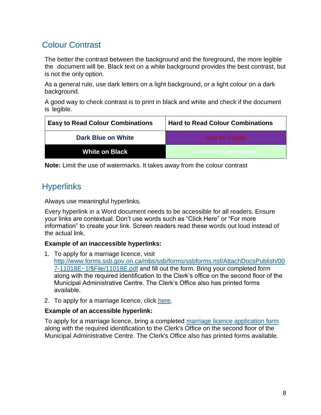# <span id="page-7-0"></span>Colour Contrast

The better the contrast between the background and the foreground, the more legible the document will be. Black text on a white background provides the best contrast, but is not the only option.

As a general rule, use dark letters on a light background, or a light colour on a dark background.

A good way to check contrast is to print in black and white and check if the document is legible.

| <b>Easy to Read Colour Combinations</b> | <b>Hard to Read Colour Combinations</b> |
|-----------------------------------------|-----------------------------------------|
| <b>Dark Blue on White</b>               | <b>Red on Purple</b>                    |
| <b>White on Black</b>                   | <u>I White on Light Green,</u>          |

**Note:** Limit the use of watermarks. It takes away from the colour contrast

# <span id="page-7-1"></span>**Hyperlinks**

Always use meaningful hyperlinks.

Every hyperlink in a Word document needs to be accessible for all readers. Ensure your links are contextual. Don't use words such as "Click Here" or "For more information" to create your link. Screen readers read these words out loud instead of the actual link.

#### **Example of an inaccessible hyperlinks:**

- 1. To apply for a marriage licence, visit [http://www.forms.ssb.gov.on.ca/mbs/ssb/forms/ssbforms.nsf/AttachDocsPublish/00](http://www.forms.ssb.gov.on.ca/mbs/ssb/forms/ssbforms.nsf/AttachDocsPublish/007-11018E~1/$File/11018E.pdf) [7-11018E~1/\\$File/11018E.pdf](http://www.forms.ssb.gov.on.ca/mbs/ssb/forms/ssbforms.nsf/AttachDocsPublish/007-11018E~1/$File/11018E.pdf) and fill out the form. Bring your completed form along with the required identification to the Clerk's office on the second floor of the Municipal Administrative Centre. The Clerk's Office also has printed forms available.
- 2. To apply for a marriage licence, click [here.](http://www.forms.ssb.gov.on.ca/mbs/ssb/forms/ssbforms.nsf/AttachDocsPublish/007-11018E~1/$File/11018E.pd)

#### **Example of an accessible hyperlink:**

To apply for a marriage licence, bring a completed [marriage licence application form](http://www.forms.ssb.gov.on.ca/mbs/ssb/forms/ssbforms.nsf/AttachDocsPublish/007-11018E~1/$File/11018E.pdf) along with the required identification to the Clerk's Office on the second floor of the Municipal Administrative Centre. The Clerk's Office also has printed forms available.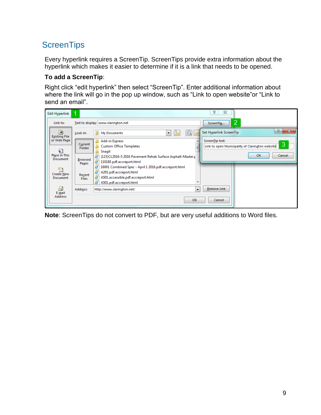# <span id="page-8-0"></span>**ScreenTips**

Every hyperlink requires a ScreenTip. ScreenTips provide extra information about the hyperlink which makes it easier to determine if it is a link that needs to be opened.

#### **To add a ScreenTip**:

Right click "edit hyperlink" then select "ScreenTip". Enter additional information about where the link will go in the pop up window, such as "Link to open website"or "Link to send an email".

| Edit Hyperlink                             | 1                      |                                                                                                                                                   | P<br>$\Sigma$                                                           |
|--------------------------------------------|------------------------|---------------------------------------------------------------------------------------------------------------------------------------------------|-------------------------------------------------------------------------|
| Link to:                                   |                        | Text to display: www.clarington.net                                                                                                               | っ<br>ScreenTip<br>ے                                                     |
| <b>D</b><br><b>Existing File</b>           | Look in:               | My Documents<br>۰<br>ťС                                                                                                                           | P<br>$\overline{\mathbf{x}}$<br>Set Hyperlink ScreenTip                 |
| or Web Page<br>€                           | Current<br>Folder      | <b>Add-in Express</b><br><b>Custom Office Templates</b><br>Snagit                                                                                 | ScreenTip text:<br>3<br>Link to open Municipality of Clarington website |
| Place in This<br><b>Document</b>           | Browsed<br>Pages       | (123) CL2016-5 2016 Pavement Rehab Surface Asphalt-Master.p<br>e<br>11018E.pdf.accreport.html                                                     | OK<br>Cancel                                                            |
| ¥Э<br><b>Create New</b><br><b>Document</b> | Recent<br><b>Files</b> | 16001 Combined Spec - April 1 2016.pdf.accreport.html<br>A201.pdf.accreport.html<br>A501.accessible.pdf.accreport.html<br>A501.pdf.accreport.html |                                                                         |
| a<br>E-mail                                | Address:               | http://www.clarington.net/<br>$\overline{\phantom{a}}$                                                                                            | <b>Remove Link</b>                                                      |
| <b>Address</b>                             |                        | OK                                                                                                                                                | Cancel                                                                  |

**Note**: ScreenTips do not convert to PDF, but are very useful additions to Word files.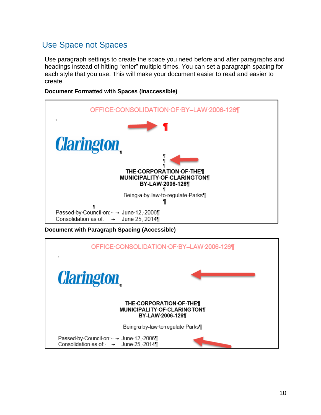# <span id="page-9-0"></span>Use Space not Spaces

Use paragraph settings to create the space you need before and after paragraphs and headings instead of hitting "enter" multiple times. You can set a paragraph spacing for each style that you use. This will make your document easier to read and easier to create.





**Document with Paragraph Spacing (Accessible)**

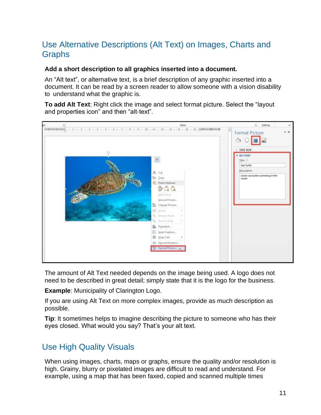# <span id="page-10-0"></span>Use Alternative Descriptions (Alt Text) on Images, Charts and Graphs

#### **Add a short description to all graphics inserted into a document.**

An "Alt text", or alternative text, is a brief description of any graphic inserted into a document. It can be read by a screen reader to allow someone with a vision disability to understand what the graphic is.

**To add Alt Text**: Right click the image and select format picture. Select the "layout and properties icon" and then "alt-text".



The amount of Alt Text needed depends on the image being used. A logo does not need to be described in great detail; simply state that it is the logo for the business.

**Example**: Municipality of Clarington Logo.

If you are using Alt Text on more complex images, provide as much description as possible.

**Tip**: It sometimes helps to imagine describing the picture to someone who has their eyes closed. What would you say? That's your alt text.

## <span id="page-10-1"></span>Use High Quality Visuals

When using images, charts, maps or graphs, ensure the quality and/or resolution is high. Grainy, blurry or pixelated images are difficult to read and understand. For example, using a map that has been faxed, copied and scanned multiple times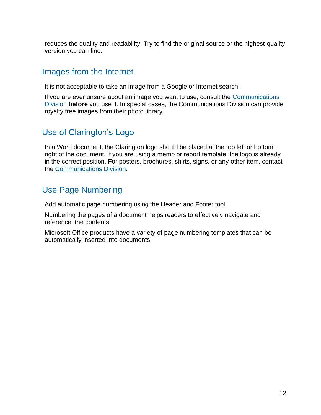reduces the quality and readability. Try to find the original source or the highest-quality version you can find.

## <span id="page-11-0"></span>Images from the Internet

It is not acceptable to take an image from a Google or Internet search.

If you are ever unsure about an image you want to use, consult the Communications [Division](mailto:communications@clarington.net?subject=Copyright%20Images) **before** you use it. In special cases, the Communications Division can provide royalty free images from their photo library.

## <span id="page-11-1"></span>Use of Clarington's Logo

In a Word document, the Clarington logo should be placed at the top left or bottom right of the document. If you are using a memo or report template, the logo is already in the correct position. For posters, brochures, shirts, signs, or any other item, contact the [Communications Division.](mailto:communications@clarington.net?subject=Copyright%20Images)

# <span id="page-11-2"></span>Use Page Numbering

Add automatic page numbering using the Header and Footer tool

Numbering the pages of a document helps readers to effectively navigate and reference the contents.

Microsoft Office products have a variety of page numbering templates that can be automatically inserted into documents.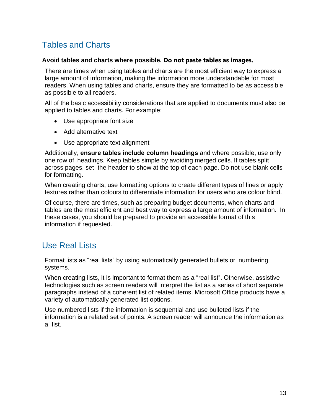# <span id="page-12-0"></span>Tables and Charts

#### **Avoid tables and charts where possible. Do not paste tables as images.**

There are times when using tables and charts are the most efficient way to express a large amount of information, making the information more understandable for most readers. When using tables and charts, ensure they are formatted to be as accessible as possible to all readers.

All of the basic accessibility considerations that are applied to documents must also be applied to tables and charts. For example:

- Use appropriate font size
- Add alternative text
- Use appropriate text alignment

Additionally, **ensure tables include column headings** and where possible, use only one row of headings. Keep tables simple by avoiding merged cells. If tables split across pages, set the header to show at the top of each page. Do not use blank cells for formatting.

When creating charts, use formatting options to create different types of lines or apply textures rather than colours to differentiate information for users who are colour blind.

Of course, there are times, such as preparing budget documents, when charts and tables are the most efficient and best way to express a large amount of information. In these cases, you should be prepared to provide an accessible format of this information if requested.

# <span id="page-12-1"></span>Use Real Lists

Format lists as "real lists" by using automatically generated bullets or numbering systems.

When creating lists, it is important to format them as a "real list". Otherwise, assistive technologies such as screen readers will interpret the list as a series of short separate paragraphs instead of a coherent list of related items. Microsoft Office products have a variety of automatically generated list options.

Use numbered lists if the information is sequential and use bulleted lists if the information is a related set of points. A screen reader will announce the information as a list.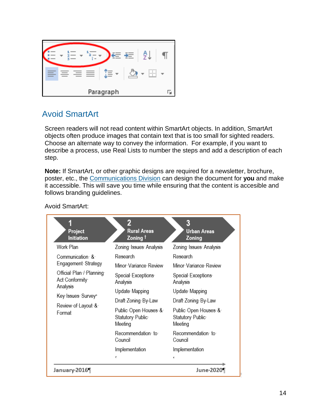

# <span id="page-13-0"></span>Avoid SmartArt

Screen readers will not read content within SmartArt objects. In addition, SmartArt objects often produce images that contain text that is too small for sighted readers. Choose an alternate way to convey the information. For example, if you want to describe a process, use Real Lists to number the steps and add a description of each step.

**Note:** If SmartArt, or other graphic designs are required for a newsletter, brochure, poster, etc., the [Communications Division](mailto:communications@clarington.net?subject=graphic%20design) can design the document for **you** and make it accessible. This will save you time while ensuring that the content is accesible and follows branding guidelines.

| Project<br><b>Initiation</b>               | 2<br><b>Rural Areas</b><br>Zoning †                 | 3<br><b>Urban Areas</b><br>Zoning                   |  |
|--------------------------------------------|-----------------------------------------------------|-----------------------------------------------------|--|
| Work Plan                                  | Zoning Issues Analysis                              | Zoning Issues Analysis                              |  |
| Communication &                            | Research                                            | Research                                            |  |
| Engagement Strategy                        | Minor Variance Review                               | Minor Variance Review                               |  |
| Official Plan / Planning<br>Act Conformity | Special Exceptions<br>Analysis                      | Special Exceptions<br>Analysis                      |  |
| Analysis                                   | Update Mapping                                      | Update Mapping                                      |  |
| Key Issues Survey°                         | Draft Zoning By-Law                                 | Draft Zoning By-Law                                 |  |
| Review of Layout &<br>Format               | Public Open Houses &<br>Statutory Public<br>Meeting | Public Open Houses &<br>Statutory Public<br>Meeting |  |
|                                            | Recommendation to <del>c</del><br>Council           | Recommendation to<br>Council                        |  |
|                                            | Implementation                                      | Implementation                                      |  |
|                                            | c                                                   | c                                                   |  |
| January 2016                               |                                                     | June-2020                                           |  |

Avoid SmartArt: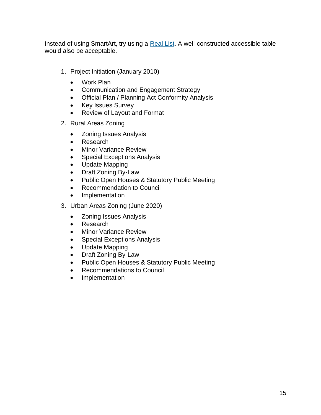Instead of using SmartArt, try using a [Real List.](#page-12-1) A well-constructed accessible table would also be acceptable.

- 1. Project Initiation (January 2010)
	- Work Plan
	- Communication and Engagement Strategy
	- Official Plan / Planning Act Conformity Analysis
	- Key Issues Survey
	- Review of Layout and Format
- 2. Rural Areas Zoning
	- Zoning Issues Analysis
	- Research
	- **Minor Variance Review**
	- Special Exceptions Analysis
	- Update Mapping
	- Draft Zoning By-Law
	- Public Open Houses & Statutory Public Meeting
	- Recommendation to Council
	- Implementation
- 3. Urban Areas Zoning (June 2020)
	- Zoning Issues Analysis
	- Research
	- Minor Variance Review
	- Special Exceptions Analysis
	- Update Mapping
	- Draft Zoning By-Law
	- Public Open Houses & Statutory Public Meeting
	- Recommendations to Council
	- Implementation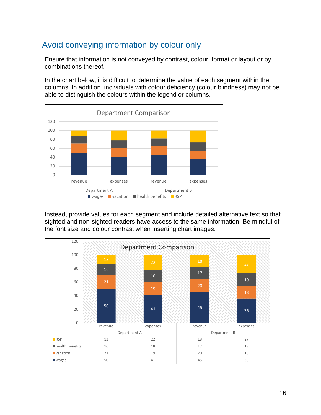# <span id="page-15-0"></span>Avoid conveying information by colour only

Ensure that information is not conveyed by contrast, colour, format or layout or by combinations thereof.

In the chart below, it is difficult to determine the value of each segment within the columns. In addition, individuals with colour deficiency (colour blindness) may not be able to distinguish the colours within the legend or columns.



Instead, provide values for each segment and include detailed alternative text so that sighted and non-sighted readers have access to the same information. Be mindful of the font size and colour contrast when inserting chart images.

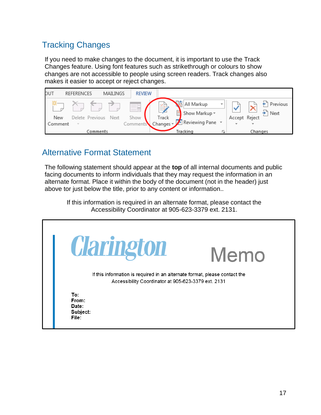# <span id="page-16-0"></span>Tracking Changes

If you need to make changes to the document, it is important to use the Track Changes feature. Using font features such as strikethrough or colours to show changes are not accessible to people using screen readers. Track changes also makes it easier to accept or reject changes.



## <span id="page-16-1"></span>Alternative Format Statement

The following statement should appear at the **top** of all internal documents and public facing documents to inform individuals that they may request the information in an alternate format. Place it within the body of the document (not in the header) just above tor just below the title, prior to any content or information..

If this information is required in an alternate format, please contact the Accessibility Coordinator at 905-623-3379 ext. 2131.

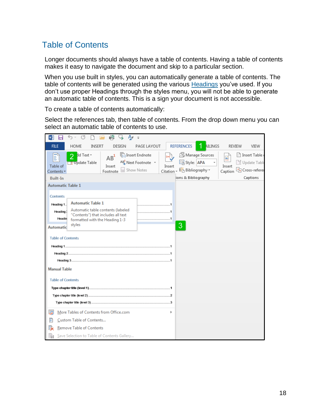# <span id="page-17-0"></span>Table of Contents

Longer documents should always have a table of contents. Having a table of contents makes it easy to navigate the document and skip to a particular section.

When you use built in styles, you can automatically generate a table of contents. The table of contents will be generated using the various **Headings** you've used. If you don't use proper Headings through the styles menu, you will not be able to generate an automatic table of contents. This is a sign your document is not accessible.

To create a table of contents automatically:

Select the references tab, then table of contents. From the drop down menu you can select an automatic table of contents to use.

| r9<br>A<br>w∃<br>₩<br>$\equiv$                                                                                                                                                                                                                                                     |                                                                                                    |
|------------------------------------------------------------------------------------------------------------------------------------------------------------------------------------------------------------------------------------------------------------------------------------|----------------------------------------------------------------------------------------------------|
| <b>REFERENCES</b><br><b>HOME</b><br>PAGE LAYOUT<br><b>FILE</b><br>INSERT<br>DESIGN                                                                                                                                                                                                 | <b>AILINGS</b><br><b>REVIEW</b><br>VIEW                                                            |
| <b>A</b> Manage Sources<br><b>Tri</b> Insert Endnote<br>dd Text +<br>h<br>$\overline{2}$<br>$AB^1$<br>⇔ే<br>国 Style: APA<br>AB Next Footnote *<br>T Update Table<br>Insert<br>Table of<br>Insert<br>Show Notes<br><b>Er</b> Bibliography ~<br>Citation ~<br>Footnote<br>Contents * | Insert Table<br>$\Delta \hat{\vec{a}}$<br>Update Table<br>Insert<br>Caption <b>D</b> Cross-referer |
| ions & Bibliography<br><b>Built-In</b>                                                                                                                                                                                                                                             | Captions                                                                                           |
| <b>Automatic Table 1</b><br>Contents<br><b>Automatic Table 1</b><br>Heading 1.<br>Automatic table contents (labeled<br>Heading:<br>"Contents") that includes all text<br>Headin<br>formatted with the Heading 1-3<br>styles<br>3<br><b>Automatic</b><br><b>Table of Contents</b>   |                                                                                                    |
|                                                                                                                                                                                                                                                                                    |                                                                                                    |
|                                                                                                                                                                                                                                                                                    |                                                                                                    |
|                                                                                                                                                                                                                                                                                    |                                                                                                    |
| <b>Manual Table</b>                                                                                                                                                                                                                                                                |                                                                                                    |
| <b>Table of Contents</b>                                                                                                                                                                                                                                                           |                                                                                                    |
|                                                                                                                                                                                                                                                                                    |                                                                                                    |
|                                                                                                                                                                                                                                                                                    |                                                                                                    |
|                                                                                                                                                                                                                                                                                    |                                                                                                    |
| G<br>More Tables of Contents from Office.com                                                                                                                                                                                                                                       |                                                                                                    |
| B<br>Custom Table of Contents                                                                                                                                                                                                                                                      |                                                                                                    |
| 跌<br><b>Remove Table of Contents</b>                                                                                                                                                                                                                                               |                                                                                                    |
| ħ<br>Save Selection to Table of Contents Gallery                                                                                                                                                                                                                                   |                                                                                                    |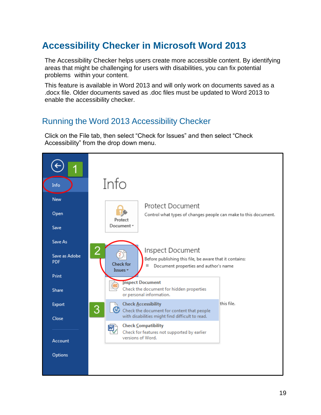# <span id="page-18-0"></span>**Accessibility Checker in Microsoft Word 2013**

The Accessibility Checker helps users create more accessible content. By identifying areas that might be challenging for users with disabilities, you can fix potential problems within your content.

This feature is available in Word 2013 and will only work on documents saved as a .docx file. Older documents saved as .doc files must be updated to Word 2013 to enable the accessibility checker.

## <span id="page-18-1"></span>Running the Word 2013 Accessibility Checker

Click on the File tab, then select "Check for Issues" and then select "Check Accessibility" from the drop down menu.

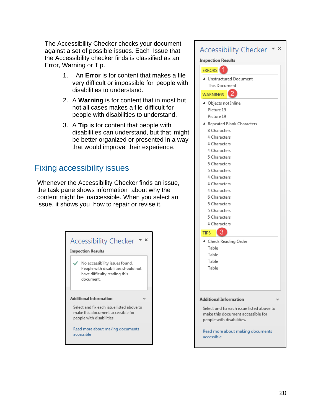The Accessibility Checker checks your document against a set of possible issues. Each Issue that the Accessibility checker finds is classified as an Error, Warning or Tip.

- 1. An **Error** is for content that makes a file very difficult or impossible for people with disabilities to understand.
- 2. A **Warning** is for content that in most but not all cases makes a file difficult for people with disabilities to understand.
- 3. A **Tip** is for content that people with disabilities can understand, but that might be better organized or presented in a way that would improve their experience.

# <span id="page-19-0"></span>Fixing accessibility issues

Whenever the Accessibility Checker finds an issue, the task pane shows information about why the content might be inaccessible. When you select an issue, it shows you how to repair or revise it.



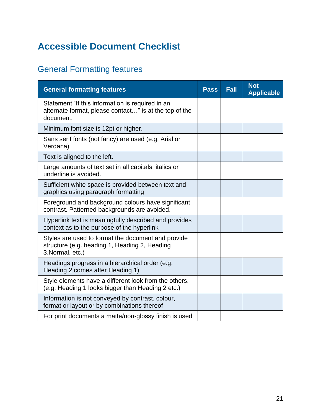# <span id="page-20-0"></span>**Accessible Document Checklist**

# <span id="page-20-1"></span>General Formatting features

| <b>General formatting features</b>                                                                                      | <b>Pass</b> | <b>Fail</b> | <b>Not</b><br><b>Applicable</b> |
|-------------------------------------------------------------------------------------------------------------------------|-------------|-------------|---------------------------------|
| Statement "If this information is required in an<br>alternate format, please contact" is at the top of the<br>document. |             |             |                                 |
| Minimum font size is 12pt or higher.                                                                                    |             |             |                                 |
| Sans serif fonts (not fancy) are used (e.g. Arial or<br>Verdana)                                                        |             |             |                                 |
| Text is aligned to the left.                                                                                            |             |             |                                 |
| Large amounts of text set in all capitals, italics or<br>underline is avoided.                                          |             |             |                                 |
| Sufficient white space is provided between text and<br>graphics using paragraph formatting                              |             |             |                                 |
| Foreground and background colours have significant<br>contrast. Patterned backgrounds are avoided.                      |             |             |                                 |
| Hyperlink text is meaningfully described and provides<br>context as to the purpose of the hyperlink                     |             |             |                                 |
| Styles are used to format the document and provide<br>structure (e.g. heading 1, Heading 2, Heading<br>3, Normal, etc.) |             |             |                                 |
| Headings progress in a hierarchical order (e.g.<br>Heading 2 comes after Heading 1)                                     |             |             |                                 |
| Style elements have a different look from the others.<br>(e.g. Heading 1 looks bigger than Heading 2 etc.)              |             |             |                                 |
| Information is not conveyed by contrast, colour,<br>format or layout or by combinations thereof                         |             |             |                                 |
| For print documents a matte/non-glossy finish is used                                                                   |             |             |                                 |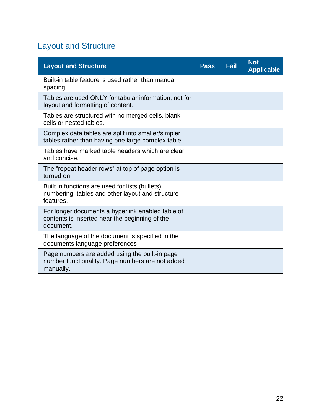# <span id="page-21-0"></span>Layout and Structure

| <b>Layout and Structure</b>                                                                                       | <b>Pass</b> | <b>Fail</b> | <b>Not</b><br><b>Applicable</b> |
|-------------------------------------------------------------------------------------------------------------------|-------------|-------------|---------------------------------|
| Built-in table feature is used rather than manual<br>spacing                                                      |             |             |                                 |
| Tables are used ONLY for tabular information, not for<br>layout and formatting of content.                        |             |             |                                 |
| Tables are structured with no merged cells, blank<br>cells or nested tables.                                      |             |             |                                 |
| Complex data tables are split into smaller/simpler<br>tables rather than having one large complex table.          |             |             |                                 |
| Tables have marked table headers which are clear<br>and concise.                                                  |             |             |                                 |
| The "repeat header rows" at top of page option is<br>turned on                                                    |             |             |                                 |
| Built in functions are used for lists (bullets),<br>numbering, tables and other layout and structure<br>features. |             |             |                                 |
| For longer documents a hyperlink enabled table of<br>contents is inserted near the beginning of the<br>document.  |             |             |                                 |
| The language of the document is specified in the<br>documents language preferences                                |             |             |                                 |
| Page numbers are added using the built-in page<br>number functionality. Page numbers are not added<br>manually.   |             |             |                                 |